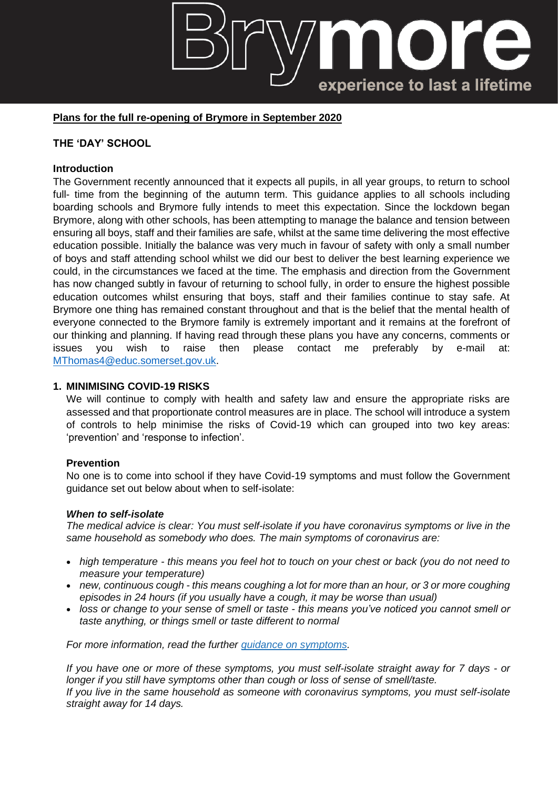# experience to last a lifetime

## **Plans for the full re-opening of Brymore in September 2020**

## **THE 'DAY' SCHOOL**

#### **Introduction**

The Government recently announced that it expects all pupils, in all year groups, to return to school full- time from the beginning of the autumn term. This guidance applies to all schools including boarding schools and Brymore fully intends to meet this expectation. Since the lockdown began Brymore, along with other schools, has been attempting to manage the balance and tension between ensuring all boys, staff and their families are safe, whilst at the same time delivering the most effective education possible. Initially the balance was very much in favour of safety with only a small number of boys and staff attending school whilst we did our best to deliver the best learning experience we could, in the circumstances we faced at the time. The emphasis and direction from the Government has now changed subtly in favour of returning to school fully, in order to ensure the highest possible education outcomes whilst ensuring that boys, staff and their families continue to stay safe. At Brymore one thing has remained constant throughout and that is the belief that the mental health of everyone connected to the Brymore family is extremely important and it remains at the forefront of our thinking and planning. If having read through these plans you have any concerns, comments or issues you wish to raise then please contact me preferably by e-mail at: [MThomas4@educ.somerset.gov.uk.](mailto:MThomas4@educ.somerset.gov.uk)

#### **1. MINIMISING COVID-19 RISKS**

We will continue to comply with health and safety law and ensure the appropriate risks are assessed and that proportionate control measures are in place. The school will introduce a system of controls to help minimise the risks of Covid-19 which can grouped into two key areas: 'prevention' and 'response to infection'.

#### **Prevention**

No one is to come into school if they have Covid-19 symptoms and must follow the Government guidance set out below about when to self-isolate:

#### *When to self-isolate*

*The medical advice is clear: You must self-isolate if you have coronavirus symptoms or live in the same household as somebody who does. The main symptoms of coronavirus are:*

- *high temperature - this means you feel hot to touch on your chest or back (you do not need to measure your temperature)*
- *new, continuous cough - this means coughing a lot for more than an hour, or 3 or more coughing episodes in 24 hours (if you usually have a cough, it may be worse than usual)*
- *loss or change to your sense of smell or taste - this means you've noticed you cannot smell or taste anything, or things smell or taste different to normal*

*For more information, read the further guidance on [symptoms.](https://www.nhs.uk/conditions/coronavirus-covid-19/check-if-you-have-coronavirus-symptoms/)*

*If you have one or more of these symptoms, you must self-isolate straight away for 7 days - or longer if you still have symptoms other than cough or loss of sense of smell/taste. If you live in the same household as someone with coronavirus symptoms, you must self-isolate straight away for 14 days.*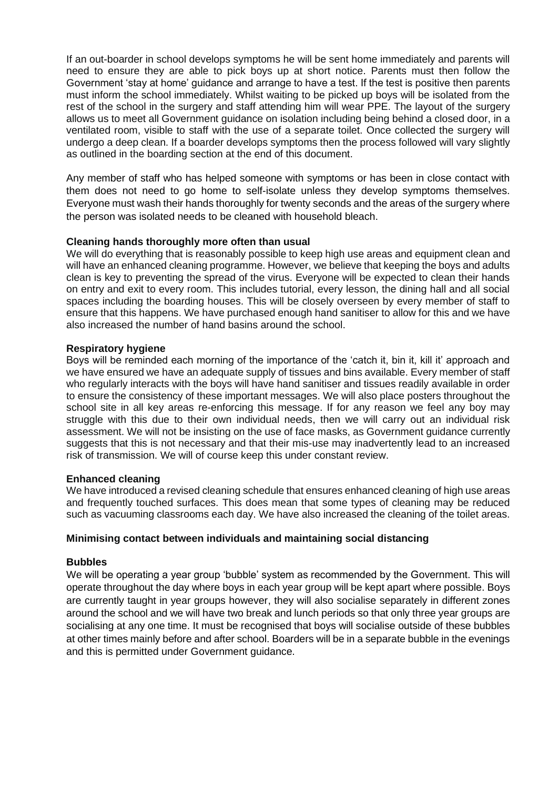If an out-boarder in school develops symptoms he will be sent home immediately and parents will need to ensure they are able to pick boys up at short notice. Parents must then follow the Government 'stay at home' guidance and arrange to have a test. If the test is positive then parents must inform the school immediately. Whilst waiting to be picked up boys will be isolated from the rest of the school in the surgery and staff attending him will wear PPE. The layout of the surgery allows us to meet all Government guidance on isolation including being behind a closed door, in a ventilated room, visible to staff with the use of a separate toilet. Once collected the surgery will undergo a deep clean. If a boarder develops symptoms then the process followed will vary slightly as outlined in the boarding section at the end of this document.

Any member of staff who has helped someone with symptoms or has been in close contact with them does not need to go home to self-isolate unless they develop symptoms themselves. Everyone must wash their hands thoroughly for twenty seconds and the areas of the surgery where the person was isolated needs to be cleaned with household bleach.

## **Cleaning hands thoroughly more often than usual**

We will do everything that is reasonably possible to keep high use areas and equipment clean and will have an enhanced cleaning programme. However, we believe that keeping the boys and adults clean is key to preventing the spread of the virus. Everyone will be expected to clean their hands on entry and exit to every room. This includes tutorial, every lesson, the dining hall and all social spaces including the boarding houses. This will be closely overseen by every member of staff to ensure that this happens. We have purchased enough hand sanitiser to allow for this and we have also increased the number of hand basins around the school.

## **Respiratory hygiene**

Boys will be reminded each morning of the importance of the 'catch it, bin it, kill it' approach and we have ensured we have an adequate supply of tissues and bins available. Every member of staff who regularly interacts with the boys will have hand sanitiser and tissues readily available in order to ensure the consistency of these important messages. We will also place posters throughout the school site in all key areas re-enforcing this message. If for any reason we feel any boy may struggle with this due to their own individual needs, then we will carry out an individual risk assessment. We will not be insisting on the use of face masks, as Government guidance currently suggests that this is not necessary and that their mis-use may inadvertently lead to an increased risk of transmission. We will of course keep this under constant review.

## **Enhanced cleaning**

We have introduced a revised cleaning schedule that ensures enhanced cleaning of high use areas and frequently touched surfaces. This does mean that some types of cleaning may be reduced such as vacuuming classrooms each day. We have also increased the cleaning of the toilet areas.

## **Minimising contact between individuals and maintaining social distancing**

## **Bubbles**

We will be operating a year group 'bubble' system as recommended by the Government. This will operate throughout the day where boys in each year group will be kept apart where possible. Boys are currently taught in year groups however, they will also socialise separately in different zones around the school and we will have two break and lunch periods so that only three year groups are socialising at any one time. It must be recognised that boys will socialise outside of these bubbles at other times mainly before and after school. Boarders will be in a separate bubble in the evenings and this is permitted under Government guidance.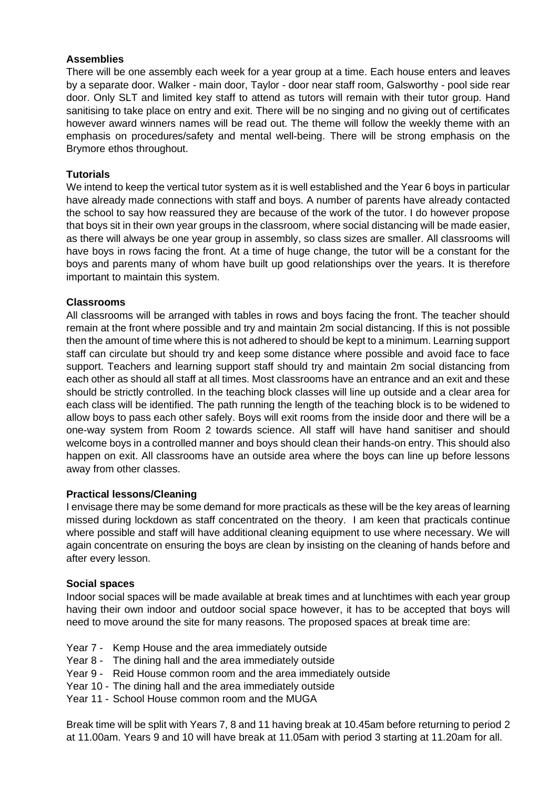## **Assemblies**

There will be one assembly each week for a year group at a time. Each house enters and leaves by a separate door. Walker - main door, Taylor - door near staff room, Galsworthy - pool side rear door. Only SLT and limited key staff to attend as tutors will remain with their tutor group. Hand sanitising to take place on entry and exit. There will be no singing and no giving out of certificates however award winners names will be read out. The theme will follow the weekly theme with an emphasis on procedures/safety and mental well-being. There will be strong emphasis on the Brymore ethos throughout.

## **Tutorials**

We intend to keep the vertical tutor system as it is well established and the Year 6 boys in particular have already made connections with staff and boys. A number of parents have already contacted the school to say how reassured they are because of the work of the tutor. I do however propose that boys sit in their own year groups in the classroom, where social distancing will be made easier, as there will always be one year group in assembly, so class sizes are smaller. All classrooms will have boys in rows facing the front. At a time of huge change, the tutor will be a constant for the boys and parents many of whom have built up good relationships over the years. It is therefore important to maintain this system.

## **Classrooms**

All classrooms will be arranged with tables in rows and boys facing the front. The teacher should remain at the front where possible and try and maintain 2m social distancing. If this is not possible then the amount of time where this is not adhered to should be kept to a minimum. Learning support staff can circulate but should try and keep some distance where possible and avoid face to face support. Teachers and learning support staff should try and maintain 2m social distancing from each other as should all staff at all times. Most classrooms have an entrance and an exit and these should be strictly controlled. In the teaching block classes will line up outside and a clear area for each class will be identified. The path running the length of the teaching block is to be widened to allow boys to pass each other safely. Boys will exit rooms from the inside door and there will be a one-way system from Room 2 towards science. All staff will have hand sanitiser and should welcome boys in a controlled manner and boys should clean their hands-on entry. This should also happen on exit. All classrooms have an outside area where the boys can line up before lessons away from other classes.

## **Practical lessons/Cleaning**

I envisage there may be some demand for more practicals as these will be the key areas of learning missed during lockdown as staff concentrated on the theory. I am keen that practicals continue where possible and staff will have additional cleaning equipment to use where necessary. We will again concentrate on ensuring the boys are clean by insisting on the cleaning of hands before and after every lesson.

## **Social spaces**

Indoor social spaces will be made available at break times and at lunchtimes with each year group having their own indoor and outdoor social space however, it has to be accepted that boys will need to move around the site for many reasons. The proposed spaces at break time are:

- Year 7 Kemp House and the area immediately outside
- Year 8 The dining hall and the area immediately outside
- Year 9 Reid House common room and the area immediately outside
- Year 10 The dining hall and the area immediately outside
- Year 11 School House common room and the MUGA

Break time will be split with Years 7, 8 and 11 having break at 10.45am before returning to period 2 at 11.00am. Years 9 and 10 will have break at 11.05am with period 3 starting at 11.20am for all.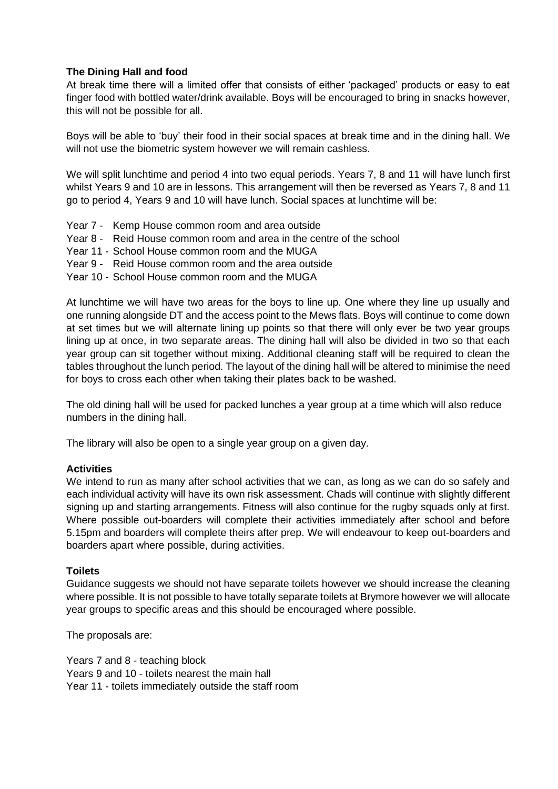## **The Dining Hall and food**

At break time there will a limited offer that consists of either 'packaged' products or easy to eat finger food with bottled water/drink available. Boys will be encouraged to bring in snacks however, this will not be possible for all.

Boys will be able to 'buy' their food in their social spaces at break time and in the dining hall. We will not use the biometric system however we will remain cashless.

We will split lunchtime and period 4 into two equal periods. Years 7, 8 and 11 will have lunch first whilst Years 9 and 10 are in lessons. This arrangement will then be reversed as Years 7, 8 and 11 go to period 4, Years 9 and 10 will have lunch. Social spaces at lunchtime will be:

- Year 7 Kemp House common room and area outside
- Year 8 Reid House common room and area in the centre of the school
- Year 11 School House common room and the MUGA
- Year 9 Reid House common room and the area outside
- Year 10 School House common room and the MUGA

At lunchtime we will have two areas for the boys to line up. One where they line up usually and one running alongside DT and the access point to the Mews flats. Boys will continue to come down at set times but we will alternate lining up points so that there will only ever be two year groups lining up at once, in two separate areas. The dining hall will also be divided in two so that each year group can sit together without mixing. Additional cleaning staff will be required to clean the tables throughout the lunch period. The layout of the dining hall will be altered to minimise the need for boys to cross each other when taking their plates back to be washed.

The old dining hall will be used for packed lunches a year group at a time which will also reduce numbers in the dining hall.

The library will also be open to a single year group on a given day.

#### **Activities**

We intend to run as many after school activities that we can, as long as we can do so safely and each individual activity will have its own risk assessment. Chads will continue with slightly different signing up and starting arrangements. Fitness will also continue for the rugby squads only at first. Where possible out-boarders will complete their activities immediately after school and before 5.15pm and boarders will complete theirs after prep. We will endeavour to keep out-boarders and boarders apart where possible, during activities.

#### **Toilets**

Guidance suggests we should not have separate toilets however we should increase the cleaning where possible. It is not possible to have totally separate toilets at Brymore however we will allocate year groups to specific areas and this should be encouraged where possible.

The proposals are:

Years 7 and 8 - teaching block Years 9 and 10 - toilets nearest the main hall Year 11 - toilets immediately outside the staff room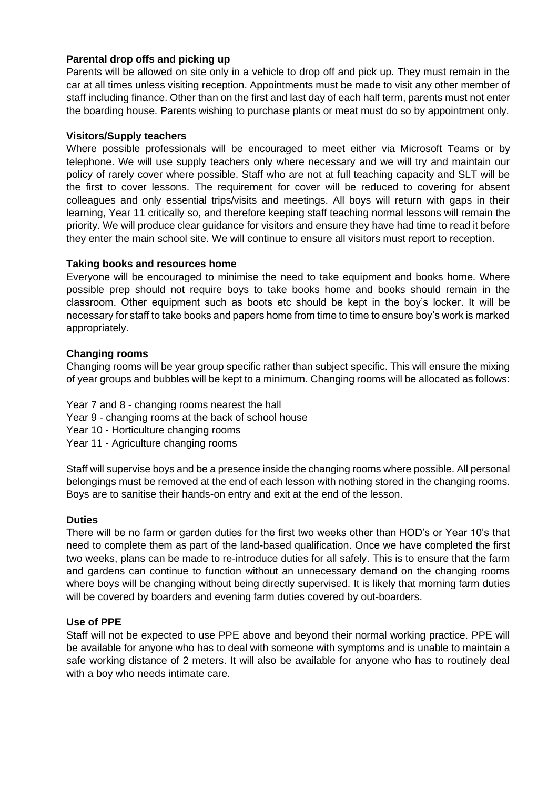## **Parental drop offs and picking up**

Parents will be allowed on site only in a vehicle to drop off and pick up. They must remain in the car at all times unless visiting reception. Appointments must be made to visit any other member of staff including finance. Other than on the first and last day of each half term, parents must not enter the boarding house. Parents wishing to purchase plants or meat must do so by appointment only.

## **Visitors/Supply teachers**

Where possible professionals will be encouraged to meet either via Microsoft Teams or by telephone. We will use supply teachers only where necessary and we will try and maintain our policy of rarely cover where possible. Staff who are not at full teaching capacity and SLT will be the first to cover lessons. The requirement for cover will be reduced to covering for absent colleagues and only essential trips/visits and meetings. All boys will return with gaps in their learning, Year 11 critically so, and therefore keeping staff teaching normal lessons will remain the priority. We will produce clear guidance for visitors and ensure they have had time to read it before they enter the main school site. We will continue to ensure all visitors must report to reception.

#### **Taking books and resources home**

Everyone will be encouraged to minimise the need to take equipment and books home. Where possible prep should not require boys to take books home and books should remain in the classroom. Other equipment such as boots etc should be kept in the boy's locker. It will be necessary for staff to take books and papers home from time to time to ensure boy's work is marked appropriately.

## **Changing rooms**

Changing rooms will be year group specific rather than subject specific. This will ensure the mixing of year groups and bubbles will be kept to a minimum. Changing rooms will be allocated as follows:

Year 7 and 8 - changing rooms nearest the hall

- Year 9 changing rooms at the back of school house
- Year 10 Horticulture changing rooms
- Year 11 Agriculture changing rooms

Staff will supervise boys and be a presence inside the changing rooms where possible. All personal belongings must be removed at the end of each lesson with nothing stored in the changing rooms. Boys are to sanitise their hands-on entry and exit at the end of the lesson.

## **Duties**

There will be no farm or garden duties for the first two weeks other than HOD's or Year 10's that need to complete them as part of the land-based qualification. Once we have completed the first two weeks, plans can be made to re-introduce duties for all safely. This is to ensure that the farm and gardens can continue to function without an unnecessary demand on the changing rooms where boys will be changing without being directly supervised. It is likely that morning farm duties will be covered by boarders and evening farm duties covered by out-boarders.

#### **Use of PPE**

Staff will not be expected to use PPE above and beyond their normal working practice. PPE will be available for anyone who has to deal with someone with symptoms and is unable to maintain a safe working distance of 2 meters. It will also be available for anyone who has to routinely deal with a boy who needs intimate care.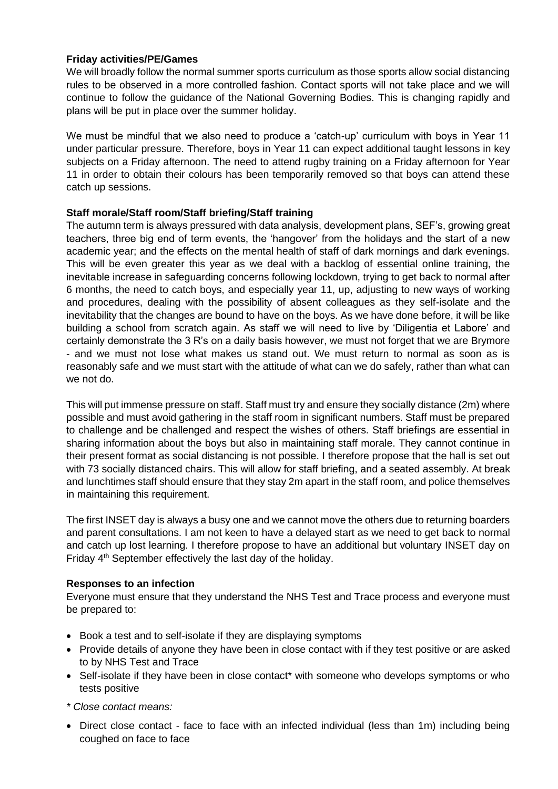## **Friday activities/PE/Games**

We will broadly follow the normal summer sports curriculum as those sports allow social distancing rules to be observed in a more controlled fashion. Contact sports will not take place and we will continue to follow the guidance of the National Governing Bodies. This is changing rapidly and plans will be put in place over the summer holiday.

We must be mindful that we also need to produce a 'catch-up' curriculum with boys in Year 11 under particular pressure. Therefore, boys in Year 11 can expect additional taught lessons in key subjects on a Friday afternoon. The need to attend rugby training on a Friday afternoon for Year 11 in order to obtain their colours has been temporarily removed so that boys can attend these catch up sessions.

## **Staff morale/Staff room/Staff briefing/Staff training**

The autumn term is always pressured with data analysis, development plans, SEF's, growing great teachers, three big end of term events, the 'hangover' from the holidays and the start of a new academic year; and the effects on the mental health of staff of dark mornings and dark evenings. This will be even greater this year as we deal with a backlog of essential online training, the inevitable increase in safeguarding concerns following lockdown, trying to get back to normal after 6 months, the need to catch boys, and especially year 11, up, adjusting to new ways of working and procedures, dealing with the possibility of absent colleagues as they self-isolate and the inevitability that the changes are bound to have on the boys. As we have done before, it will be like building a school from scratch again. As staff we will need to live by 'Diligentia et Labore' and certainly demonstrate the 3 R's on a daily basis however, we must not forget that we are Brymore - and we must not lose what makes us stand out. We must return to normal as soon as is reasonably safe and we must start with the attitude of what can we do safely, rather than what can we not do.

This will put immense pressure on staff. Staff must try and ensure they socially distance (2m) where possible and must avoid gathering in the staff room in significant numbers. Staff must be prepared to challenge and be challenged and respect the wishes of others. Staff briefings are essential in sharing information about the boys but also in maintaining staff morale. They cannot continue in their present format as social distancing is not possible. I therefore propose that the hall is set out with 73 socially distanced chairs. This will allow for staff briefing, and a seated assembly. At break and lunchtimes staff should ensure that they stay 2m apart in the staff room, and police themselves in maintaining this requirement.

The first INSET day is always a busy one and we cannot move the others due to returning boarders and parent consultations. I am not keen to have a delayed start as we need to get back to normal and catch up lost learning. I therefore propose to have an additional but voluntary INSET day on Friday 4<sup>th</sup> September effectively the last day of the holiday.

## **Responses to an infection**

Everyone must ensure that they understand the NHS Test and Trace process and everyone must be prepared to:

- Book a test and to self-isolate if they are displaying symptoms
- Provide details of anyone they have been in close contact with if they test positive or are asked to by NHS Test and Trace
- Self-isolate if they have been in close contact\* with someone who develops symptoms or who tests positive
- *\* Close contact means:*
- Direct close contact face to face with an infected individual (less than 1m) including being coughed on face to face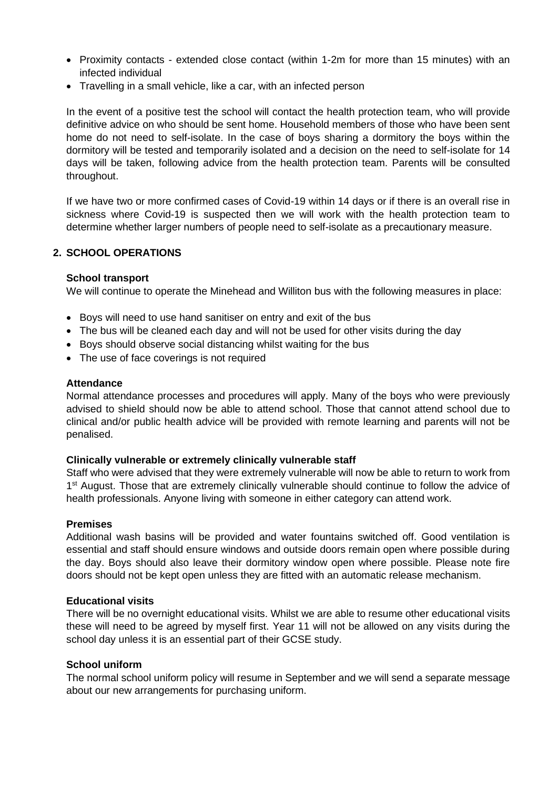- Proximity contacts extended close contact (within 1-2m for more than 15 minutes) with an infected individual
- Travelling in a small vehicle, like a car, with an infected person

In the event of a positive test the school will contact the health protection team, who will provide definitive advice on who should be sent home. Household members of those who have been sent home do not need to self-isolate. In the case of boys sharing a dormitory the boys within the dormitory will be tested and temporarily isolated and a decision on the need to self-isolate for 14 days will be taken, following advice from the health protection team. Parents will be consulted throughout.

If we have two or more confirmed cases of Covid-19 within 14 days or if there is an overall rise in sickness where Covid-19 is suspected then we will work with the health protection team to determine whether larger numbers of people need to self-isolate as a precautionary measure.

## **2. SCHOOL OPERATIONS**

#### **School transport**

We will continue to operate the Minehead and Williton bus with the following measures in place:

- Boys will need to use hand sanitiser on entry and exit of the bus
- The bus will be cleaned each day and will not be used for other visits during the day
- Boys should observe social distancing whilst waiting for the bus
- The use of face coverings is not required

#### **Attendance**

Normal attendance processes and procedures will apply. Many of the boys who were previously advised to shield should now be able to attend school. Those that cannot attend school due to clinical and/or public health advice will be provided with remote learning and parents will not be penalised.

#### **Clinically vulnerable or extremely clinically vulnerable staff**

Staff who were advised that they were extremely vulnerable will now be able to return to work from 1<sup>st</sup> August. Those that are extremely clinically vulnerable should continue to follow the advice of health professionals. Anyone living with someone in either category can attend work.

## **Premises**

Additional wash basins will be provided and water fountains switched off. Good ventilation is essential and staff should ensure windows and outside doors remain open where possible during the day. Boys should also leave their dormitory window open where possible. Please note fire doors should not be kept open unless they are fitted with an automatic release mechanism.

#### **Educational visits**

There will be no overnight educational visits. Whilst we are able to resume other educational visits these will need to be agreed by myself first. Year 11 will not be allowed on any visits during the school day unless it is an essential part of their GCSE study.

#### **School uniform**

The normal school uniform policy will resume in September and we will send a separate message about our new arrangements for purchasing uniform.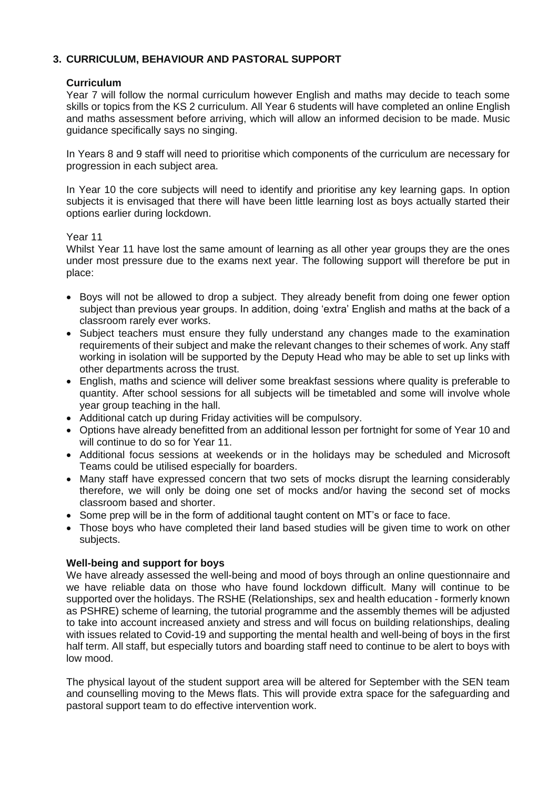# **3. CURRICULUM, BEHAVIOUR AND PASTORAL SUPPORT**

## **Curriculum**

Year 7 will follow the normal curriculum however English and maths may decide to teach some skills or topics from the KS 2 curriculum. All Year 6 students will have completed an online English and maths assessment before arriving, which will allow an informed decision to be made. Music guidance specifically says no singing.

In Years 8 and 9 staff will need to prioritise which components of the curriculum are necessary for progression in each subject area.

In Year 10 the core subjects will need to identify and prioritise any key learning gaps. In option subjects it is envisaged that there will have been little learning lost as boys actually started their options earlier during lockdown.

#### Year 11

Whilst Year 11 have lost the same amount of learning as all other year groups they are the ones under most pressure due to the exams next year. The following support will therefore be put in place:

- Boys will not be allowed to drop a subject. They already benefit from doing one fewer option subject than previous year groups. In addition, doing 'extra' English and maths at the back of a classroom rarely ever works.
- Subject teachers must ensure they fully understand any changes made to the examination requirements of their subject and make the relevant changes to their schemes of work. Any staff working in isolation will be supported by the Deputy Head who may be able to set up links with other departments across the trust.
- English, maths and science will deliver some breakfast sessions where quality is preferable to quantity. After school sessions for all subjects will be timetabled and some will involve whole year group teaching in the hall.
- Additional catch up during Friday activities will be compulsory.
- Options have already benefitted from an additional lesson per fortnight for some of Year 10 and will continue to do so for Year 11.
- Additional focus sessions at weekends or in the holidays may be scheduled and Microsoft Teams could be utilised especially for boarders.
- Many staff have expressed concern that two sets of mocks disrupt the learning considerably therefore, we will only be doing one set of mocks and/or having the second set of mocks classroom based and shorter.
- Some prep will be in the form of additional taught content on MT's or face to face.
- Those boys who have completed their land based studies will be given time to work on other subjects.

## **Well-being and support for boys**

We have already assessed the well-being and mood of boys through an online questionnaire and we have reliable data on those who have found lockdown difficult. Many will continue to be supported over the holidays. The RSHE (Relationships, sex and health education - formerly known as PSHRE) scheme of learning, the tutorial programme and the assembly themes will be adjusted to take into account increased anxiety and stress and will focus on building relationships, dealing with issues related to Covid-19 and supporting the mental health and well-being of boys in the first half term. All staff, but especially tutors and boarding staff need to continue to be alert to boys with low mood.

The physical layout of the student support area will be altered for September with the SEN team and counselling moving to the Mews flats. This will provide extra space for the safeguarding and pastoral support team to do effective intervention work.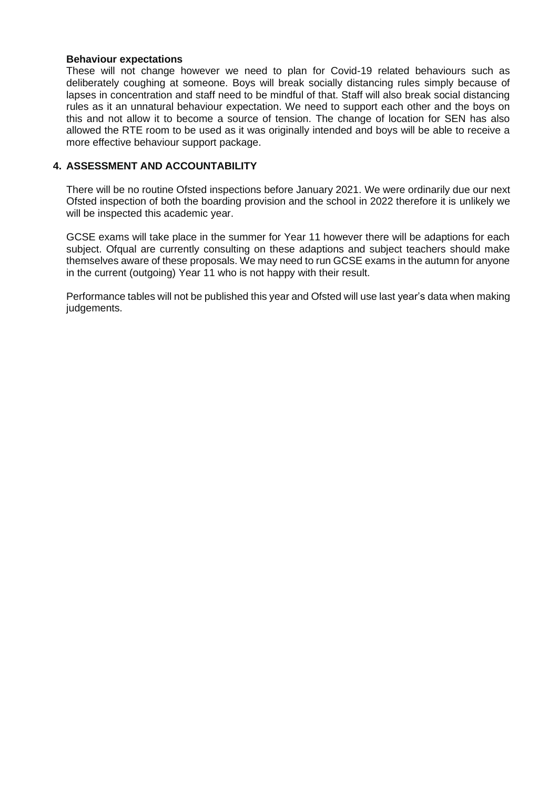#### **Behaviour expectations**

These will not change however we need to plan for Covid-19 related behaviours such as deliberately coughing at someone. Boys will break socially distancing rules simply because of lapses in concentration and staff need to be mindful of that. Staff will also break social distancing rules as it an unnatural behaviour expectation. We need to support each other and the boys on this and not allow it to become a source of tension. The change of location for SEN has also allowed the RTE room to be used as it was originally intended and boys will be able to receive a more effective behaviour support package.

## **4. ASSESSMENT AND ACCOUNTABILITY**

There will be no routine Ofsted inspections before January 2021. We were ordinarily due our next Ofsted inspection of both the boarding provision and the school in 2022 therefore it is unlikely we will be inspected this academic year.

GCSE exams will take place in the summer for Year 11 however there will be adaptions for each subject. Ofqual are currently consulting on these adaptions and subject teachers should make themselves aware of these proposals. We may need to run GCSE exams in the autumn for anyone in the current (outgoing) Year 11 who is not happy with their result.

Performance tables will not be published this year and Ofsted will use last year's data when making judgements.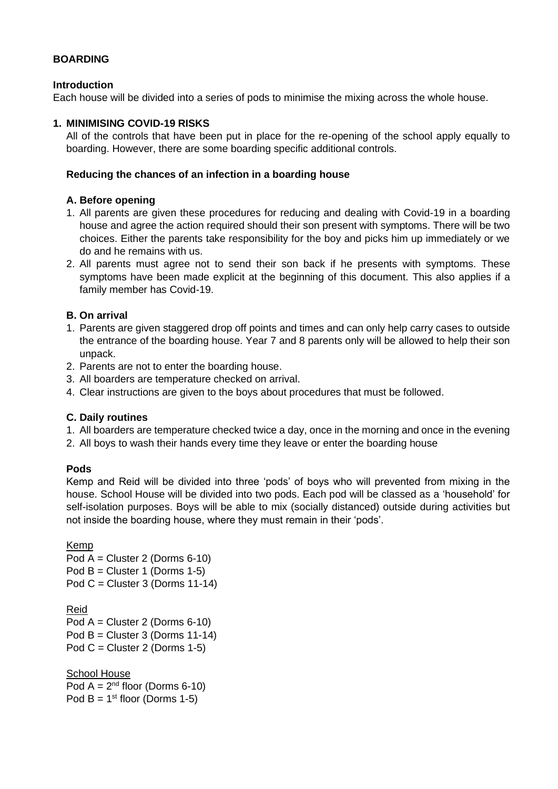## **BOARDING**

## **Introduction**

Each house will be divided into a series of pods to minimise the mixing across the whole house.

## **1. MINIMISING COVID-19 RISKS**

All of the controls that have been put in place for the re-opening of the school apply equally to boarding. However, there are some boarding specific additional controls.

## **Reducing the chances of an infection in a boarding house**

## **A. Before opening**

- 1. All parents are given these procedures for reducing and dealing with Covid-19 in a boarding house and agree the action required should their son present with symptoms. There will be two choices. Either the parents take responsibility for the boy and picks him up immediately or we do and he remains with us.
- 2. All parents must agree not to send their son back if he presents with symptoms. These symptoms have been made explicit at the beginning of this document. This also applies if a family member has Covid-19.

## **B. On arrival**

- 1. Parents are given staggered drop off points and times and can only help carry cases to outside the entrance of the boarding house. Year 7 and 8 parents only will be allowed to help their son unpack.
- 2. Parents are not to enter the boarding house.
- 3. All boarders are temperature checked on arrival.
- 4. Clear instructions are given to the boys about procedures that must be followed.

## **C. Daily routines**

- 1. All boarders are temperature checked twice a day, once in the morning and once in the evening
- 2. All boys to wash their hands every time they leave or enter the boarding house

# **Pods**

Kemp and Reid will be divided into three 'pods' of boys who will prevented from mixing in the house. School House will be divided into two pods. Each pod will be classed as a 'household' for self-isolation purposes. Boys will be able to mix (socially distanced) outside during activities but not inside the boarding house, where they must remain in their 'pods'.

Kemp Pod A = Cluster 2 (Dorms 6-10) Pod  $B =$  Cluster 1 (Dorms 1-5) Pod  $C =$  Cluster 3 (Dorms 11-14) Reid Pod A = Cluster 2 (Dorms 6-10) Pod  $B =$  Cluster 3 (Dorms 11-14) Pod  $C =$  Cluster 2 (Dorms 1-5)

**School House** Pod  $A = 2^{nd}$  floor (Dorms 6-10) Pod  $B = 1^{st}$  floor (Dorms 1-5)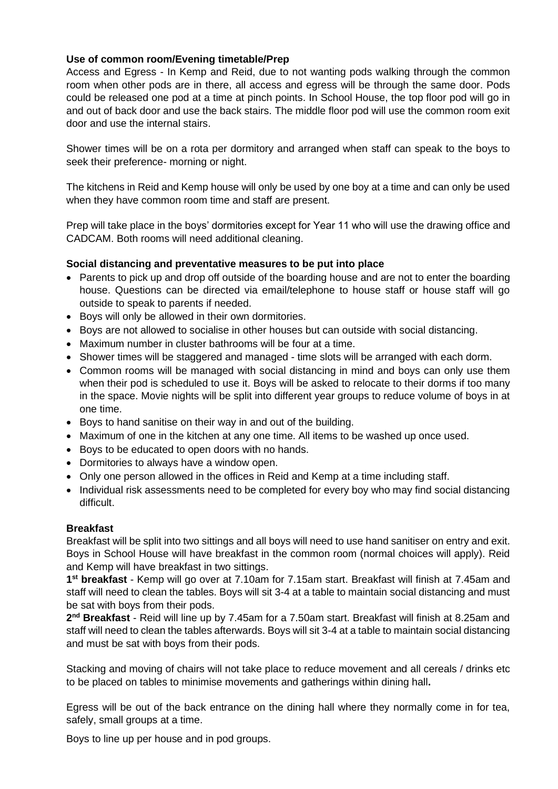## **Use of common room/Evening timetable/Prep**

Access and Egress - In Kemp and Reid, due to not wanting pods walking through the common room when other pods are in there, all access and egress will be through the same door. Pods could be released one pod at a time at pinch points. In School House, the top floor pod will go in and out of back door and use the back stairs. The middle floor pod will use the common room exit door and use the internal stairs.

Shower times will be on a rota per dormitory and arranged when staff can speak to the boys to seek their preference- morning or night.

The kitchens in Reid and Kemp house will only be used by one boy at a time and can only be used when they have common room time and staff are present.

Prep will take place in the boys' dormitories except for Year 11 who will use the drawing office and CADCAM. Both rooms will need additional cleaning.

## **Social distancing and preventative measures to be put into place**

- Parents to pick up and drop off outside of the boarding house and are not to enter the boarding house. Questions can be directed via email/telephone to house staff or house staff will go outside to speak to parents if needed.
- Boys will only be allowed in their own dormitories.
- Boys are not allowed to socialise in other houses but can outside with social distancing.
- Maximum number in cluster bathrooms will be four at a time.
- Shower times will be staggered and managed time slots will be arranged with each dorm.
- Common rooms will be managed with social distancing in mind and boys can only use them when their pod is scheduled to use it. Boys will be asked to relocate to their dorms if too many in the space. Movie nights will be split into different year groups to reduce volume of boys in at one time.
- Boys to hand sanitise on their way in and out of the building.
- Maximum of one in the kitchen at any one time. All items to be washed up once used.
- Boys to be educated to open doors with no hands.
- Dormitories to always have a window open.
- Only one person allowed in the offices in Reid and Kemp at a time including staff.
- Individual risk assessments need to be completed for every boy who may find social distancing difficult.

#### **Breakfast**

Breakfast will be split into two sittings and all boys will need to use hand sanitiser on entry and exit. Boys in School House will have breakfast in the common room (normal choices will apply). Reid and Kemp will have breakfast in two sittings.

**1 st breakfast** - Kemp will go over at 7.10am for 7.15am start. Breakfast will finish at 7.45am and staff will need to clean the tables. Boys will sit 3-4 at a table to maintain social distancing and must be sat with boys from their pods.

2<sup>nd</sup> Breakfast - Reid will line up by 7.45am for a 7.50am start. Breakfast will finish at 8.25am and staff will need to clean the tables afterwards. Boys will sit 3-4 at a table to maintain social distancing and must be sat with boys from their pods.

Stacking and moving of chairs will not take place to reduce movement and all cereals / drinks etc to be placed on tables to minimise movements and gatherings within dining hall**.**

Egress will be out of the back entrance on the dining hall where they normally come in for tea, safely, small groups at a time.

Boys to line up per house and in pod groups.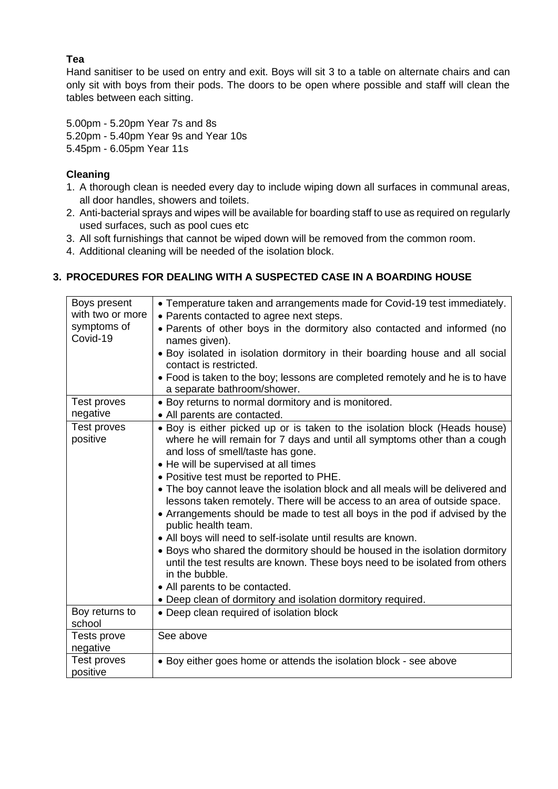# **Tea**

Hand sanitiser to be used on entry and exit. Boys will sit 3 to a table on alternate chairs and can only sit with boys from their pods. The doors to be open where possible and staff will clean the tables between each sitting.

5.00pm - 5.20pm Year 7s and 8s 5.20pm - 5.40pm Year 9s and Year 10s 5.45pm - 6.05pm Year 11s

# **Cleaning**

- 1. A thorough clean is needed every day to include wiping down all surfaces in communal areas, all door handles, showers and toilets.
- 2. Anti-bacterial sprays and wipes will be available for boarding staff to use as required on regularly used surfaces, such as pool cues etc
- 3. All soft furnishings that cannot be wiped down will be removed from the common room.
- 4. Additional cleaning will be needed of the isolation block.

# **3. PROCEDURES FOR DEALING WITH A SUSPECTED CASE IN A BOARDING HOUSE**

| Boys present            | • Temperature taken and arrangements made for Covid-19 test immediately.                                                                                                                                                                                                                                                                                                                                                                                                                                                                                                                                                                                                                                                                                                              |
|-------------------------|---------------------------------------------------------------------------------------------------------------------------------------------------------------------------------------------------------------------------------------------------------------------------------------------------------------------------------------------------------------------------------------------------------------------------------------------------------------------------------------------------------------------------------------------------------------------------------------------------------------------------------------------------------------------------------------------------------------------------------------------------------------------------------------|
| with two or more        | • Parents contacted to agree next steps.                                                                                                                                                                                                                                                                                                                                                                                                                                                                                                                                                                                                                                                                                                                                              |
| symptoms of<br>Covid-19 | . Parents of other boys in the dormitory also contacted and informed (no<br>names given).                                                                                                                                                                                                                                                                                                                                                                                                                                                                                                                                                                                                                                                                                             |
|                         | • Boy isolated in isolation dormitory in their boarding house and all social<br>contact is restricted.                                                                                                                                                                                                                                                                                                                                                                                                                                                                                                                                                                                                                                                                                |
|                         | • Food is taken to the boy; lessons are completed remotely and he is to have<br>a separate bathroom/shower.                                                                                                                                                                                                                                                                                                                                                                                                                                                                                                                                                                                                                                                                           |
| Test proves             | • Boy returns to normal dormitory and is monitored.                                                                                                                                                                                                                                                                                                                                                                                                                                                                                                                                                                                                                                                                                                                                   |
| negative                | • All parents are contacted.                                                                                                                                                                                                                                                                                                                                                                                                                                                                                                                                                                                                                                                                                                                                                          |
| Test proves<br>positive | • Boy is either picked up or is taken to the isolation block (Heads house)<br>where he will remain for 7 days and until all symptoms other than a cough<br>and loss of smell/taste has gone.<br>• He will be supervised at all times<br>• Positive test must be reported to PHE.<br>• The boy cannot leave the isolation block and all meals will be delivered and<br>lessons taken remotely. There will be access to an area of outside space.<br>• Arrangements should be made to test all boys in the pod if advised by the<br>public health team.<br>• All boys will need to self-isolate until results are known.<br>• Boys who shared the dormitory should be housed in the isolation dormitory<br>until the test results are known. These boys need to be isolated from others |
|                         | in the bubble.                                                                                                                                                                                                                                                                                                                                                                                                                                                                                                                                                                                                                                                                                                                                                                        |
|                         | • All parents to be contacted.<br>• Deep clean of dormitory and isolation dormitory required.                                                                                                                                                                                                                                                                                                                                                                                                                                                                                                                                                                                                                                                                                         |
| Boy returns to          | • Deep clean required of isolation block                                                                                                                                                                                                                                                                                                                                                                                                                                                                                                                                                                                                                                                                                                                                              |
| school                  |                                                                                                                                                                                                                                                                                                                                                                                                                                                                                                                                                                                                                                                                                                                                                                                       |
| Tests prove<br>negative | See above                                                                                                                                                                                                                                                                                                                                                                                                                                                                                                                                                                                                                                                                                                                                                                             |
| Test proves<br>positive | • Boy either goes home or attends the isolation block - see above                                                                                                                                                                                                                                                                                                                                                                                                                                                                                                                                                                                                                                                                                                                     |